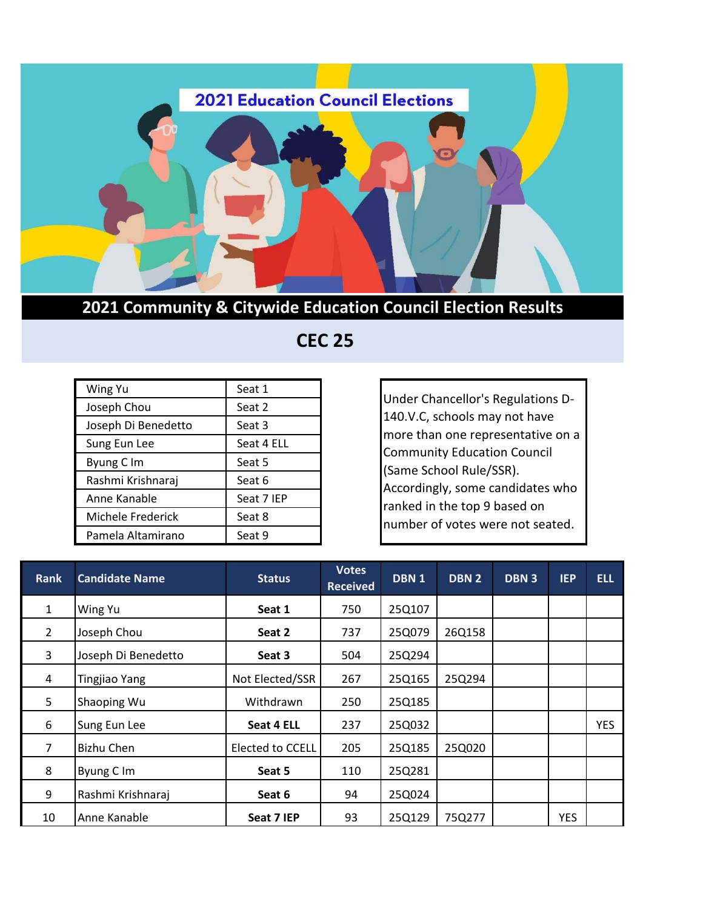

## **2021 Community & Citywide Education Council Election Results**

 **CEC 25**

| Wing Yu             | Seat 1     |  |  |
|---------------------|------------|--|--|
| Joseph Chou         | Seat 2     |  |  |
| Joseph Di Benedetto | Seat 3     |  |  |
| Sung Eun Lee        | Seat 4 ELL |  |  |
| Byung C Im          | Seat 5     |  |  |
| Rashmi Krishnaraj   | Seat 6     |  |  |
| Anne Kanable        | Seat 7 IEP |  |  |
| Michele Frederick   | Seat 8     |  |  |
| Pamela Altamirano   | Seat 9     |  |  |

Under Chancellor's Regulations D-140.V.C, schools may not have more than one representative on a Community Education Council (Same School Rule/SSR). Accordingly, some candidates who ranked in the top 9 based on number of votes were not seated.

| <b>Rank</b>    | <b>Candidate Name</b> | <b>Status</b>    | <b>Votes</b><br><b>Received</b> | DBN <sub>1</sub> | DBN <sub>2</sub> | <b>DBN3</b> | <b>IEP</b> | <b>ELL</b> |
|----------------|-----------------------|------------------|---------------------------------|------------------|------------------|-------------|------------|------------|
| $\mathbf{1}$   | Wing Yu               | Seat 1           | 750                             | 25Q107           |                  |             |            |            |
| $\overline{2}$ | Joseph Chou           | Seat 2           | 737                             | 25Q079           | 26Q158           |             |            |            |
| 3              | Joseph Di Benedetto   | Seat 3           | 504                             | 25Q294           |                  |             |            |            |
| 4              | <b>Tingjiao Yang</b>  | Not Elected/SSR  | 267                             | 25Q165           | 25Q294           |             |            |            |
| 5              | Shaoping Wu           | Withdrawn        | 250                             | 25Q185           |                  |             |            |            |
| 6              | Sung Eun Lee          | Seat 4 ELL       | 237                             | 25Q032           |                  |             |            | <b>YES</b> |
| 7              | Bizhu Chen            | Elected to CCELL | 205                             | 25Q185           | 25Q020           |             |            |            |
| 8              | Byung C Im            | Seat 5           | 110                             | 25Q281           |                  |             |            |            |
| 9              | Rashmi Krishnaraj     | Seat 6           | 94                              | 25Q024           |                  |             |            |            |
| 10             | Anne Kanable          | Seat 7 IEP       | 93                              | 25Q129           | 75Q277           |             | <b>YES</b> |            |